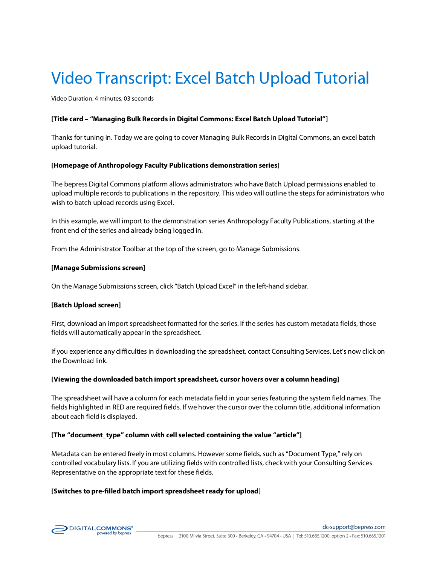# Video Transcript: Excel Batch Upload Tutorial

Video Duration: 4 minutes, 03 seconds

## **[Title card – "Managing Bulk Records in Digital Commons: Excel Batch Upload Tutorial"]**

Thanks for tuning in. Today we are going to cover Managing Bulk Records in Digital Commons, an excel batch upload tutorial.

### **[Homepage of Anthropology Faculty Publications demonstration series]**

The bepress Digital Commons platform allows administrators who have Batch Upload permissions enabled to upload multiple records to publications in the repository. This video will outline the steps for administrators who wish to batch upload records using Excel.

In this example, we will import to the demonstration series Anthropology Faculty Publications, starting at the front end of the series and already being logged in.

From the Administrator Toolbar at the top of the screen, go to Manage Submissions.

#### **[Manage Submissions screen]**

On the Manage Submissions screen, click "Batch Upload Excel" in the left-hand sidebar.

### **[Batch Upload screen]**

First, download an import spreadsheet formatted for the series. If the series has custom metadata fields, those fields will automatically appear in the spreadsheet.

If you experience any difficulties in downloading the spreadsheet, contact Consulting Services. Let's now click on the Download link.

### **[Viewing the downloaded batch import spreadsheet, cursor hovers over a column heading]**

The spreadsheet will have a column for each metadata field in your series featuring the system field names. The fields highlighted in RED are required fields. If we hover the cursor over the column title, additional information about each field is displayed.

### **[The "document\_type" column with cell selected containing the value "article"]**

Metadata can be entered freely in most columns. However some fields, such as "Document Type," rely on controlled vocabulary lists. If you are utilizing fields with controlled lists, check with your Consulting Services Representative on the appropriate text for these fields.

### [Switches to pre-filled batch import spreadsheet ready for upload]

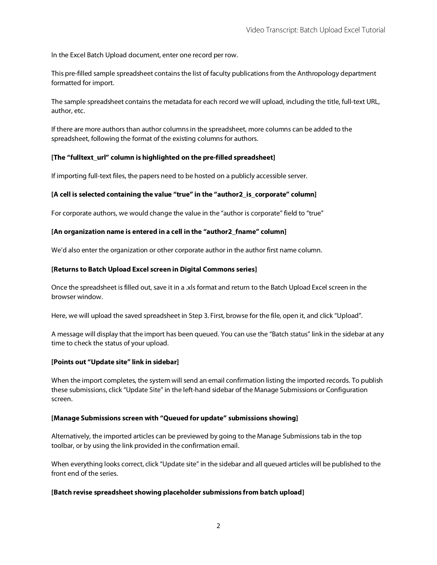In the Excel Batch Upload document, enter one record per row.

This pre-filled sample spreadsheet contains the list of faculty publications from the Anthropology department formatted for import.

The sample spreadsheet contains the metadata for each record we will upload, including the title, full-text URL, author, etc.

If there are more authors than author columns in the spreadsheet, more columns can be added to the spreadsheet, following the format of the existing columns for authors.

# **[The "fulltext\_url" column is highlighted on the pre-filled spreadsheet]**

If importing full-text files, the papers need to be hosted on a publicly accessible server.

# **[A cell is selected containing the value "true" in the "author2\_is\_corporate" column]**

For corporate authors, we would change the value in the "author is corporate" field to "true"

## **[An organization name is entered in a cell in the "author2\_fname" column]**

We'd also enter the organization or other corporate author in the author first name column.

## **[Returns to Batch Upload Excel screen in Digital Commons series]**

Once the spreadsheet is filled out, save it in a .xls format and return to the Batch Upload Excel screen in the browser window.

Here, we will upload the saved spreadsheet in Step 3. First, browse for the file, open it, and click "Upload".

A message will display that the import has been queued. You can use the "Batch status" link in the sidebar at any time to check the status of your upload.

# **[Points out "Update site" link in sidebar]**

When the import completes, the system will send an email confirmation listing the imported records. To publish these submissions, click "Update Site" in the left-hand sidebar of the Manage Submissions or Configuration screen.

# **[Manage Submissions screen with "Queued for update" submissions showing]**

Alternatively, the imported articles can be previewed by going to the Manage Submissions tab in the top toolbar, or by using the link provided in the confirmation email.

When everything looks correct, click "Update site" in the sidebar and all queued articles will be published to the front end of the series.

## **[Batch revise spreadsheet showing placeholder submissions from batch upload]**